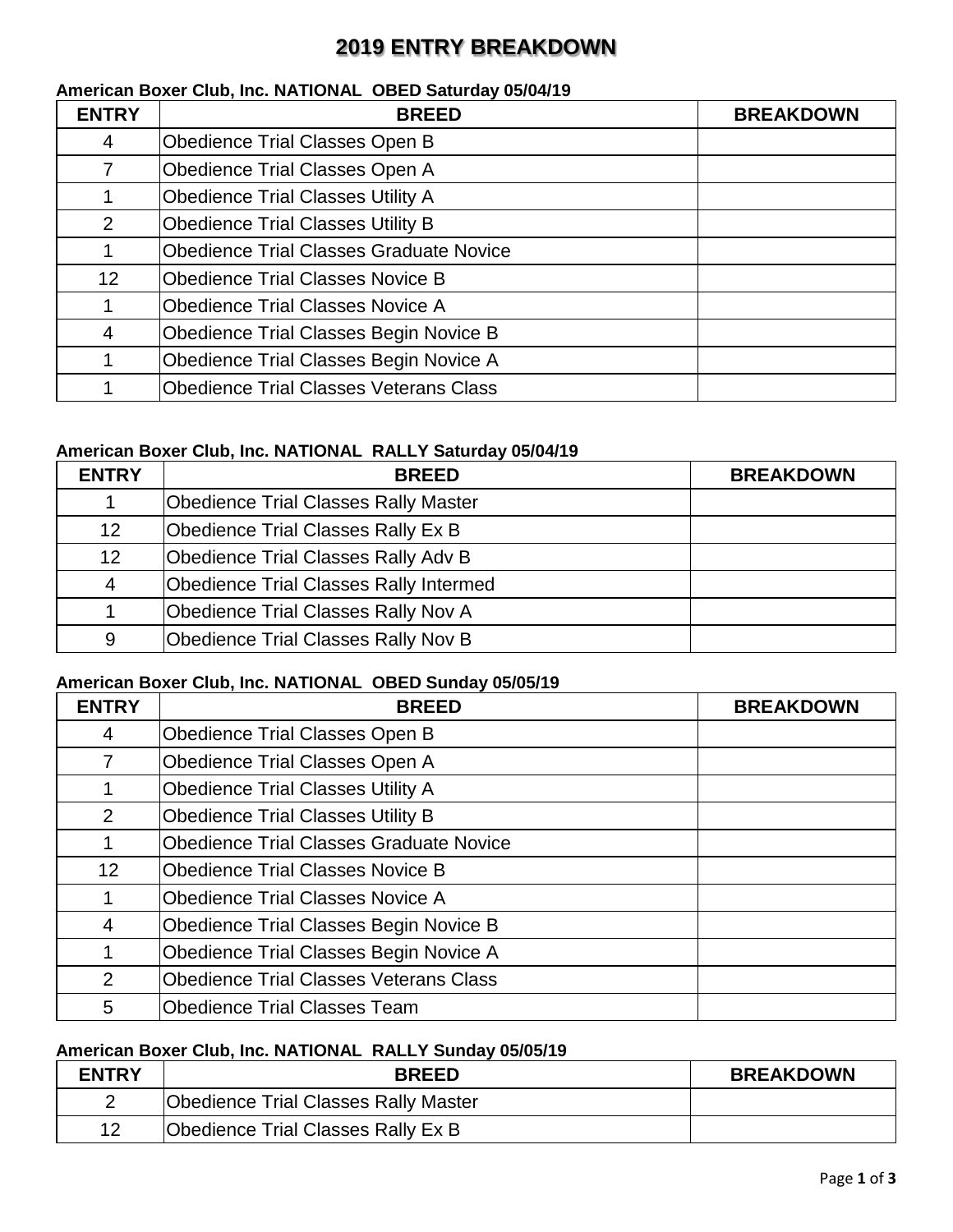## **2019 ENTRY BREAKDOWN**

## **American Boxer Club, Inc. NATIONAL OBED Saturday 05/04/19 ENTRY BREED BREAKDOWN** Obedience Trial Classes Open B Obedience Trial Classes Open A **Obedience Trial Classes Utility A Obedience Trial Classes Utility B**  Obedience Trial Classes Graduate Novice **Obedience Trial Classes Novice B**  Obedience Trial Classes Novice A Obedience Trial Classes Begin Novice B Obedience Trial Classes Begin Novice A Obedience Trial Classes Veterans Class

### **American Boxer Club, Inc. NATIONAL RALLY Saturday 05/04/19**

| <b>ENTRY</b>    | <b>BREED</b>                                  | <b>BREAKDOWN</b> |
|-----------------|-----------------------------------------------|------------------|
|                 | <b>Obedience Trial Classes Rally Master</b>   |                  |
| 12 <sup>2</sup> | Obedience Trial Classes Rally Ex B            |                  |
| 12 <sub>2</sub> | Obedience Trial Classes Rally Adv B           |                  |
| 4               | <b>Obedience Trial Classes Rally Intermed</b> |                  |
|                 | Obedience Trial Classes Rally Nov A           |                  |
| 9               | Obedience Trial Classes Rally Nov B           |                  |

#### **American Boxer Club, Inc. NATIONAL OBED Sunday 05/05/19**

| <b>ENTRY</b>    | <b>BREED</b>                                   | <b>BREAKDOWN</b> |
|-----------------|------------------------------------------------|------------------|
| 4               | <b>Obedience Trial Classes Open B</b>          |                  |
|                 | <b>Obedience Trial Classes Open A</b>          |                  |
|                 | <b>Obedience Trial Classes Utility A</b>       |                  |
| $\overline{2}$  | <b>Obedience Trial Classes Utility B</b>       |                  |
|                 | <b>Obedience Trial Classes Graduate Novice</b> |                  |
| 12 <sup>2</sup> | <b>Obedience Trial Classes Novice B</b>        |                  |
|                 | <b>Obedience Trial Classes Novice A</b>        |                  |
| $\overline{4}$  | Obedience Trial Classes Begin Novice B         |                  |
|                 | Obedience Trial Classes Begin Novice A         |                  |
| $\overline{2}$  | <b>Obedience Trial Classes Veterans Class</b>  |                  |
| 5               | <b>Obedience Trial Classes Team</b>            |                  |

#### **American Boxer Club, Inc. NATIONAL RALLY Sunday 05/05/19**

| <b>ENTRY</b> | <b>BREED</b>                                | <b>BREAKDOWN</b> |
|--------------|---------------------------------------------|------------------|
|              | <b>Obedience Trial Classes Rally Master</b> |                  |
| 12           | Obedience Trial Classes Rally Ex B          |                  |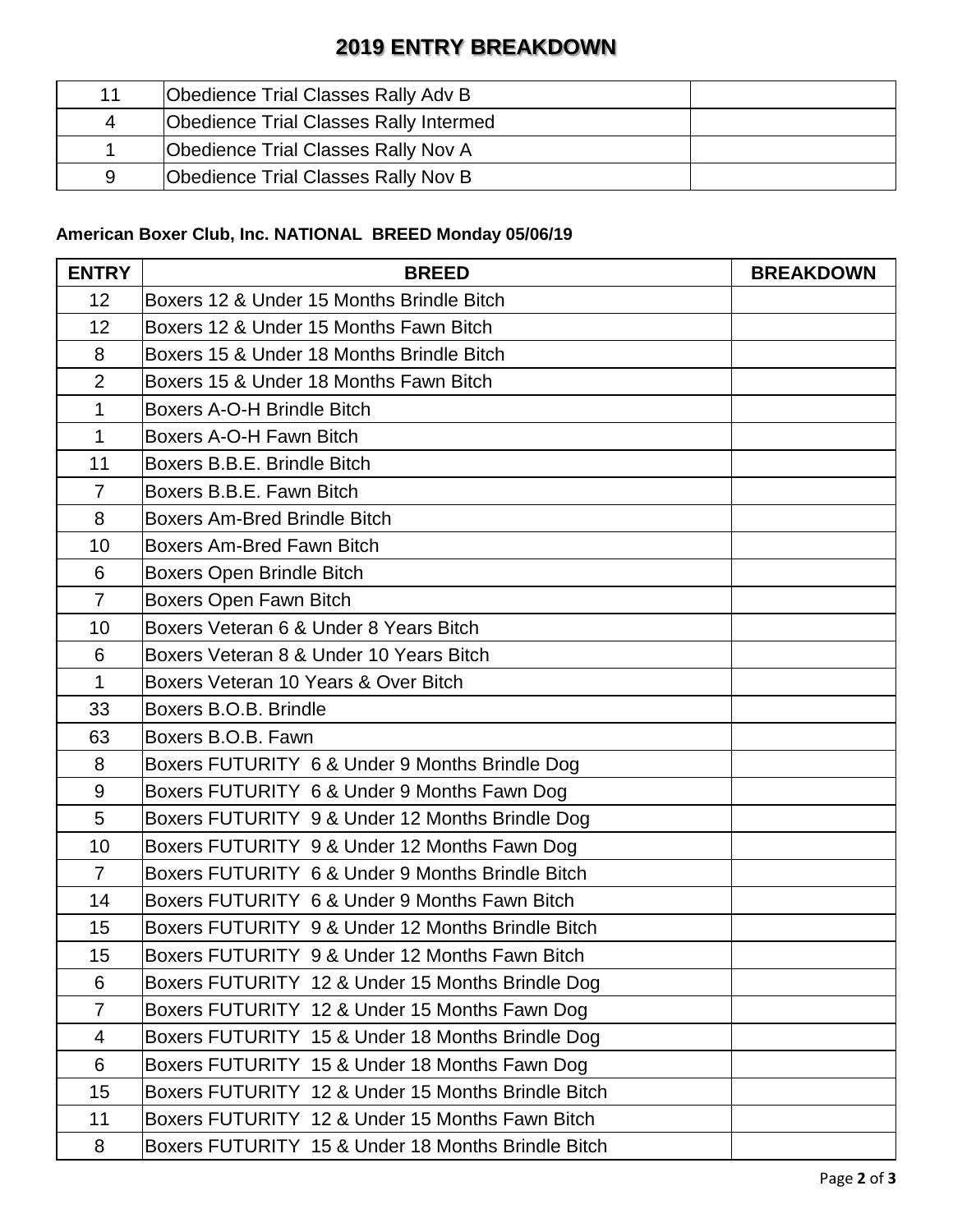# **2019 ENTRY BREAKDOWN**

| 11 | Obedience Trial Classes Rally Adv B           |  |
|----|-----------------------------------------------|--|
| 4  | <b>Obedience Trial Classes Rally Intermed</b> |  |
|    | Obedience Trial Classes Rally Nov A           |  |
| 9  | Obedience Trial Classes Rally Nov B           |  |

### **American Boxer Club, Inc. NATIONAL BREED Monday 05/06/19**

| <b>ENTRY</b>   | <b>BREED</b>                                       | <b>BREAKDOWN</b> |
|----------------|----------------------------------------------------|------------------|
| 12             | Boxers 12 & Under 15 Months Brindle Bitch          |                  |
| 12             | Boxers 12 & Under 15 Months Fawn Bitch             |                  |
| 8              | Boxers 15 & Under 18 Months Brindle Bitch          |                  |
| $\overline{2}$ | Boxers 15 & Under 18 Months Fawn Bitch             |                  |
| $\mathbf{1}$   | Boxers A-O-H Brindle Bitch                         |                  |
| $\mathbf{1}$   | Boxers A-O-H Fawn Bitch                            |                  |
| 11             | Boxers B.B.E. Brindle Bitch                        |                  |
| $\overline{7}$ | Boxers B.B.E. Fawn Bitch                           |                  |
| 8              | <b>Boxers Am-Bred Brindle Bitch</b>                |                  |
| 10             | <b>Boxers Am-Bred Fawn Bitch</b>                   |                  |
| 6              | <b>Boxers Open Brindle Bitch</b>                   |                  |
| $\overline{7}$ | Boxers Open Fawn Bitch                             |                  |
| 10             | Boxers Veteran 6 & Under 8 Years Bitch             |                  |
| 6              | Boxers Veteran 8 & Under 10 Years Bitch            |                  |
| $\mathbf 1$    | Boxers Veteran 10 Years & Over Bitch               |                  |
| 33             | Boxers B.O.B. Brindle                              |                  |
| 63             | Boxers B.O.B. Fawn                                 |                  |
| 8              | Boxers FUTURITY 6 & Under 9 Months Brindle Dog     |                  |
| 9              | Boxers FUTURITY 6 & Under 9 Months Fawn Dog        |                  |
| 5              | Boxers FUTURITY 9 & Under 12 Months Brindle Dog    |                  |
| 10             | Boxers FUTURITY 9 & Under 12 Months Fawn Dog       |                  |
| $\overline{7}$ | Boxers FUTURITY 6 & Under 9 Months Brindle Bitch   |                  |
| 14             | Boxers FUTURITY 6 & Under 9 Months Fawn Bitch      |                  |
| 15             | Boxers FUTURITY 9 & Under 12 Months Brindle Bitch  |                  |
| 15             | Boxers FUTURITY 9 & Under 12 Months Fawn Bitch     |                  |
| 6              | Boxers FUTURITY 12 & Under 15 Months Brindle Dog   |                  |
| $\overline{7}$ | Boxers FUTURITY 12 & Under 15 Months Fawn Dog      |                  |
| 4              | Boxers FUTURITY 15 & Under 18 Months Brindle Dog   |                  |
| 6              | Boxers FUTURITY 15 & Under 18 Months Fawn Dog      |                  |
| 15             | Boxers FUTURITY 12 & Under 15 Months Brindle Bitch |                  |
| 11             | Boxers FUTURITY 12 & Under 15 Months Fawn Bitch    |                  |
| 8              | Boxers FUTURITY 15 & Under 18 Months Brindle Bitch |                  |